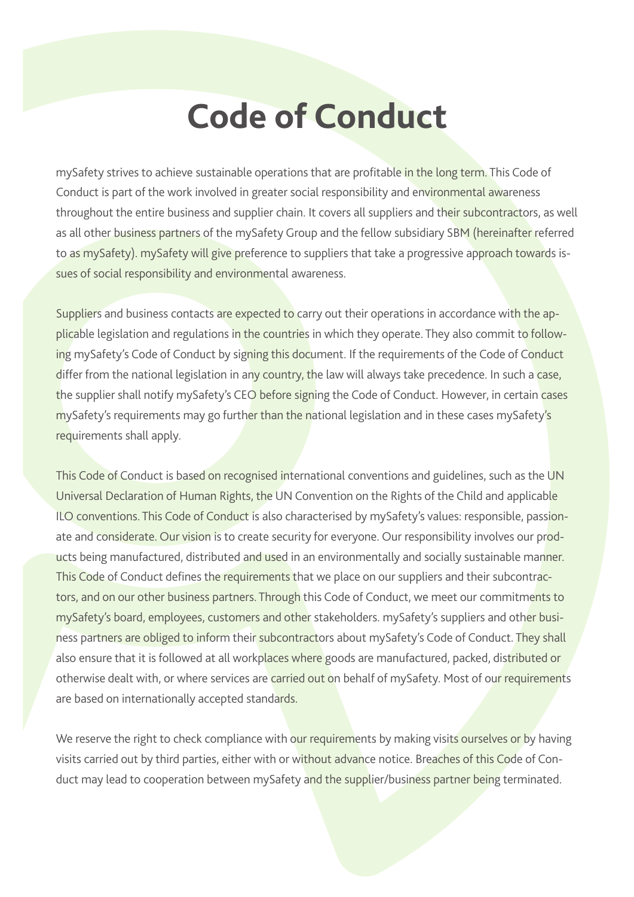# **Code of Conduct**

mySafety strives to achieve sustainable operations that are profitable in the long term. This Code of Conduct is part of the work involved in greater social responsibility and environmental awareness throughout the entire business and supplier chain. It covers all suppliers and their subcontractors, as well as all other business partners of the mySafety Group and the fellow subsidiary SBM (hereinafter referred to as mySafety). mySafety will give preference to suppliers that take a progressive approach towards issues of social responsibility and environmental awareness.

Suppliers and business contacts are expected to carry out their operations in accordance with the applicable legislation and regulations in the countries in which they operate. They also commit to following mySafety's Code of Conduct by signing this document. If the requirements of the Code of Conduct differ from the national legislation in any country, the law will always take precedence. In such a case, the supplier shall notify mySafety's CEO before signing the Code of Conduct. However, in certain cases mySafety's requirements may go further than the national legislation and in these cases mySafety's requirements shall apply.

This Code of Conduct is based on recognised international conventions and guidelines, such as the UN Universal Declaration of Human Rights, the UN Convention on the Rights of the Child and applicable ILO conventions. This Code of Conduct is also characterised by mySafety's values: responsible, passionate and considerate. Our vision is to create security for everyone. Our responsibility involves our products being manufactured, distributed and used in an environmentally and socially sustainable manner. This Code of Conduct defines the requirements that we place on our suppliers and their subcontractors, and on our other business partners. Through this Code of Conduct, we meet our commitments to mySafety's board, employees, customers and other stakeholders. mySafety's suppliers and other business partners are obliged to inform their subcontractors about mySafety's Code of Conduct. They shall also ensure that it is followed at all workplaces where goods are manufactured, packed, distributed or otherwise dealt with, or where services are carried out on behalf of mySafety. Most of our requirements are based on internationally accepted standards.

We reserve the right to check compliance with our requirements by making visits ourselves or by having visits carried out by third parties, either with or without advance notice. Breaches of this Code of Conduct may lead to cooperation between mySafety and the supplier/business partner being terminated.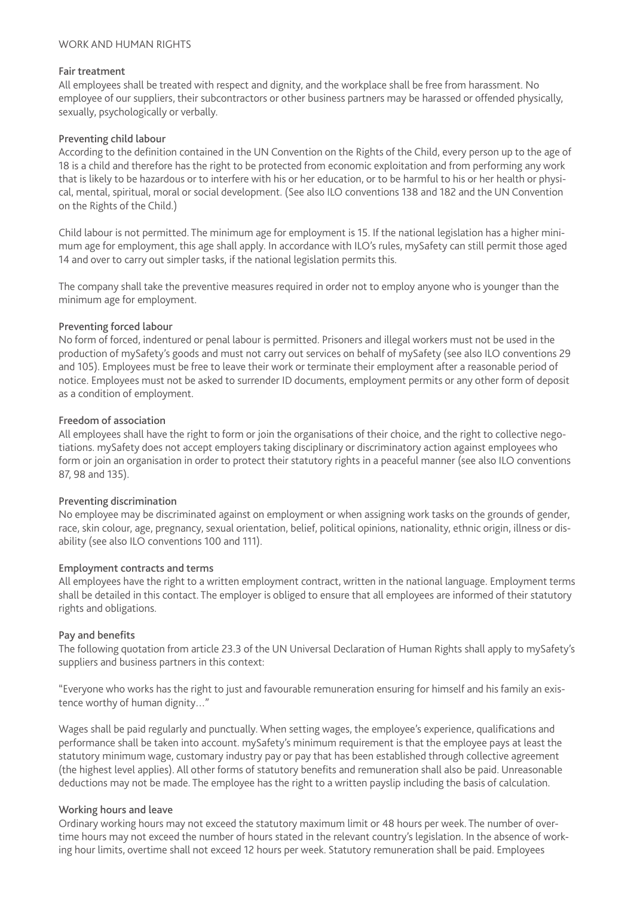## WORK AND HUMAN RIGHTS

## Fair treatment

All employees shall be treated with respect and dignity, and the workplace shall be free from harassment. No employee of our suppliers, their subcontractors or other business partners may be harassed or offended physically, sexually, psychologically or verbally.

#### Preventing child labour

According to the definition contained in the UN Convention on the Rights of the Child, every person up to the age of 18 is a child and therefore has the right to be protected from economic exploitation and from performing any work that is likely to be hazardous or to interfere with his or her education, or to be harmful to his or her health or physical, mental, spiritual, moral or social development. (See also ILO conventions 138 and 182 and the UN Convention on the Rights of the Child.)

Child labour is not permitted. The minimum age for employment is 15. If the national legislation has a higher minimum age for employment, this age shall apply. In accordance with ILO's rules, mySafety can still permit those aged 14 and over to carry out simpler tasks, if the national legislation permits this.

The company shall take the preventive measures required in order not to employ anyone who is younger than the minimum age for employment.

#### Preventing forced labour

No form of forced, indentured or penal labour is permitted. Prisoners and illegal workers must not be used in the production of mySafety's goods and must not carry out services on behalf of mySafety (see also ILO conventions 29 and 105). Employees must be free to leave their work or terminate their employment after a reasonable period of notice. Employees must not be asked to surrender ID documents, employment permits or any other form of deposit as a condition of employment.

#### Freedom of association

All employees shall have the right to form or join the organisations of their choice, and the right to collective negotiations. mySafety does not accept employers taking disciplinary or discriminatory action against employees who form or join an organisation in order to protect their statutory rights in a peaceful manner (see also ILO conventions 87, 98 and 135).

## Preventing discrimination

No employee may be discriminated against on employment or when assigning work tasks on the grounds of gender, race, skin colour, age, pregnancy, sexual orientation, belief, political opinions, nationality, ethnic origin, illness or disability (see also ILO conventions 100 and 111).

## Employment contracts and terms

All employees have the right to a written employment contract, written in the national language. Employment terms shall be detailed in this contact. The employer is obliged to ensure that all employees are informed of their statutory rights and obligations.

## Pay and benefits

The following quotation from article 23.3 of the UN Universal Declaration of Human Rights shall apply to mySafety's suppliers and business partners in this context:

"Everyone who works has the right to just and favourable remuneration ensuring for himself and his family an existence worthy of human dignity…"

Wages shall be paid regularly and punctually. When setting wages, the employee's experience, qualifications and performance shall be taken into account. mySafety's minimum requirement is that the employee pays at least the statutory minimum wage, customary industry pay or pay that has been established through collective agreement (the highest level applies). All other forms of statutory benefits and remuneration shall also be paid. Unreasonable deductions may not be made. The employee has the right to a written payslip including the basis of calculation.

## Working hours and leave

Ordinary working hours may not exceed the statutory maximum limit or 48 hours per week. The number of overtime hours may not exceed the number of hours stated in the relevant country's legislation. In the absence of working hour limits, overtime shall not exceed 12 hours per week. Statutory remuneration shall be paid. Employees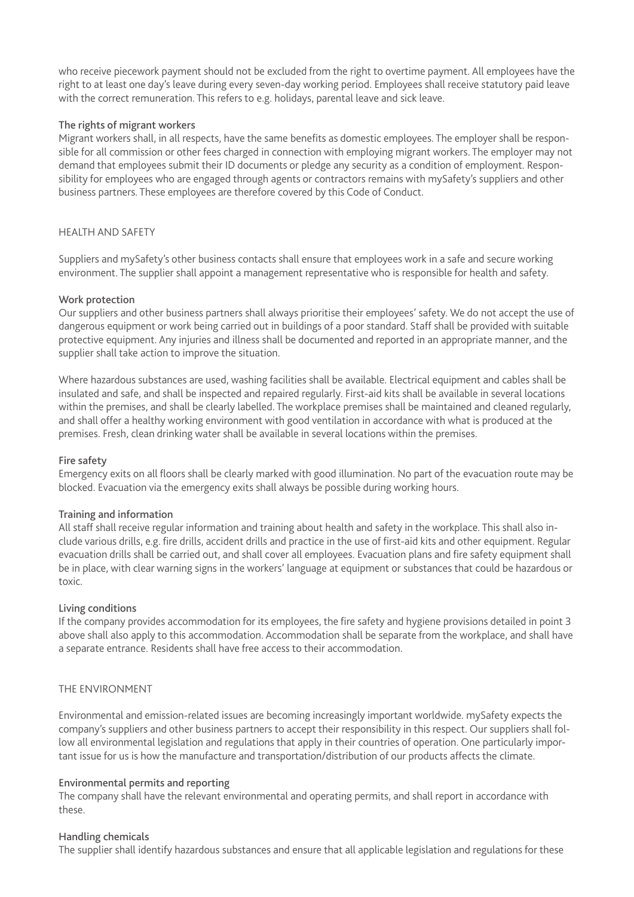who receive piecework payment should not be excluded from the right to overtime payment. All employees have the right to at least one day's leave during every seven-day working period. Employees shall receive statutory paid leave with the correct remuneration. This refers to e.g. holidays, parental leave and sick leave.

## The rights of migrant workers

Migrant workers shall, in all respects, have the same benefits as domestic employees. The employer shall be responsible for all commission or other fees charged in connection with employing migrant workers. The employer may not demand that employees submit their ID documents or pledge any security as a condition of employment. Responsibility for employees who are engaged through agents or contractors remains with mySafety's suppliers and other business partners. These employees are therefore covered by this Code of Conduct.

# HEALTH AND SAFETY

Suppliers and mySafety's other business contacts shall ensure that employees work in a safe and secure working environment. The supplier shall appoint a management representative who is responsible for health and safety.

## Work protection

Our suppliers and other business partners shall always prioritise their employees' safety. We do not accept the use of dangerous equipment or work being carried out in buildings of a poor standard. Staff shall be provided with suitable protective equipment. Any injuries and illness shall be documented and reported in an appropriate manner, and the supplier shall take action to improve the situation.

Where hazardous substances are used, washing facilities shall be available. Electrical equipment and cables shall be insulated and safe, and shall be inspected and repaired regularly. First-aid kits shall be available in several locations within the premises, and shall be clearly labelled. The workplace premises shall be maintained and cleaned regularly, and shall offer a healthy working environment with good ventilation in accordance with what is produced at the premises. Fresh, clean drinking water shall be available in several locations within the premises.

## Fire safety

Emergency exits on all floors shall be clearly marked with good illumination. No part of the evacuation route may be blocked. Evacuation via the emergency exits shall always be possible during working hours.

## Training and information

All staff shall receive regular information and training about health and safety in the workplace. This shall also include various drills, e.g. fire drills, accident drills and practice in the use of first-aid kits and other equipment. Regular evacuation drills shall be carried out, and shall cover all employees. Evacuation plans and fire safety equipment shall be in place, with clear warning signs in the workers' language at equipment or substances that could be hazardous or toxic.

## Living conditions

If the company provides accommodation for its employees, the fire safety and hygiene provisions detailed in point 3 above shall also apply to this accommodation. Accommodation shall be separate from the workplace, and shall have a separate entrance. Residents shall have free access to their accommodation.

## THE ENVIRONMENT

Environmental and emission-related issues are becoming increasingly important worldwide. mySafety expects the company's suppliers and other business partners to accept their responsibility in this respect. Our suppliers shall follow all environmental legislation and regulations that apply in their countries of operation. One particularly important issue for us is how the manufacture and transportation/distribution of our products affects the climate.

## Environmental permits and reporting

The company shall have the relevant environmental and operating permits, and shall report in accordance with these.

## Handling chemicals

The supplier shall identify hazardous substances and ensure that all applicable legislation and regulations for these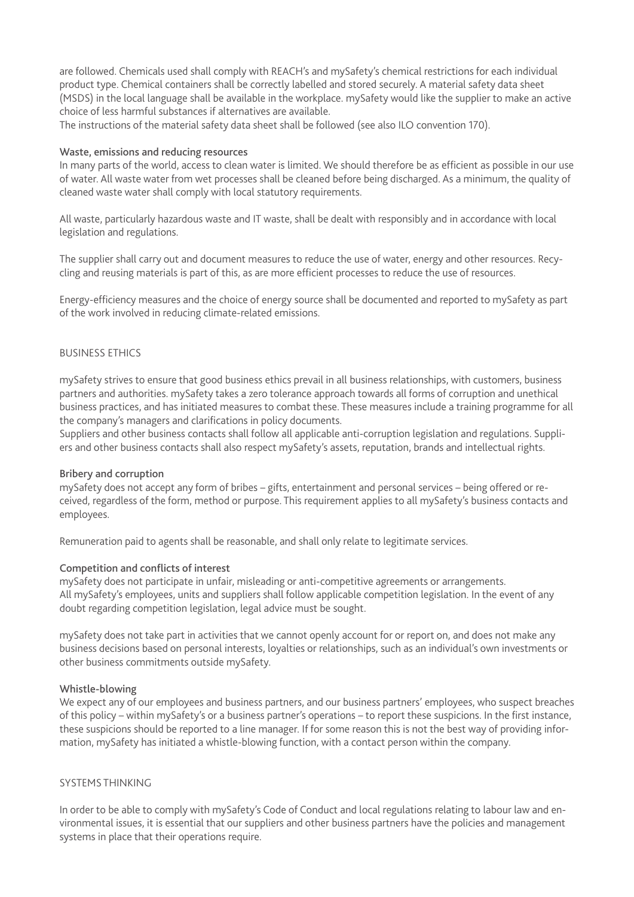are followed. Chemicals used shall comply with REACH's and mySafety's chemical restrictions for each individual product type. Chemical containers shall be correctly labelled and stored securely. A material safety data sheet (MSDS) in the local language shall be available in the workplace. mySafety would like the supplier to make an active choice of less harmful substances if alternatives are available.

The instructions of the material safety data sheet shall be followed (see also ILO convention 170).

#### Waste, emissions and reducing resources

In many parts of the world, access to clean water is limited. We should therefore be as efficient as possible in our use of water. All waste water from wet processes shall be cleaned before being discharged. As a minimum, the quality of cleaned waste water shall comply with local statutory requirements.

All waste, particularly hazardous waste and IT waste, shall be dealt with responsibly and in accordance with local legislation and regulations.

The supplier shall carry out and document measures to reduce the use of water, energy and other resources. Recycling and reusing materials is part of this, as are more efficient processes to reduce the use of resources.

Energy-efficiency measures and the choice of energy source shall be documented and reported to mySafety as part of the work involved in reducing climate-related emissions.

#### BUSINESS ETHICS

mySafety strives to ensure that good business ethics prevail in all business relationships, with customers, business partners and authorities. mySafety takes a zero tolerance approach towards all forms of corruption and unethical business practices, and has initiated measures to combat these. These measures include a training programme for all the company's managers and clarifications in policy documents.

Suppliers and other business contacts shall follow all applicable anti-corruption legislation and regulations. Suppliers and other business contacts shall also respect mySafety's assets, reputation, brands and intellectual rights.

#### Bribery and corruption

mySafety does not accept any form of bribes – gifts, entertainment and personal services – being offered or received, regardless of the form, method or purpose. This requirement applies to all mySafety's business contacts and employees.

Remuneration paid to agents shall be reasonable, and shall only relate to legitimate services.

## Competition and conflicts of interest

mySafety does not participate in unfair, misleading or anti-competitive agreements or arrangements. All mySafety's employees, units and suppliers shall follow applicable competition legislation. In the event of any doubt regarding competition legislation, legal advice must be sought.

mySafety does not take part in activities that we cannot openly account for or report on, and does not make any business decisions based on personal interests, loyalties or relationships, such as an individual's own investments or other business commitments outside mySafety.

#### Whistle-blowing

We expect any of our employees and business partners, and our business partners' employees, who suspect breaches of this policy – within mySafety's or a business partner's operations – to report these suspicions. In the first instance, these suspicions should be reported to a line manager. If for some reason this is not the best way of providing information, mySafety has initiated a whistle-blowing function, with a contact person within the company.

#### SYSTEMS THINKING

In order to be able to comply with mySafety's Code of Conduct and local regulations relating to labour law and environmental issues, it is essential that our suppliers and other business partners have the policies and management systems in place that their operations require.